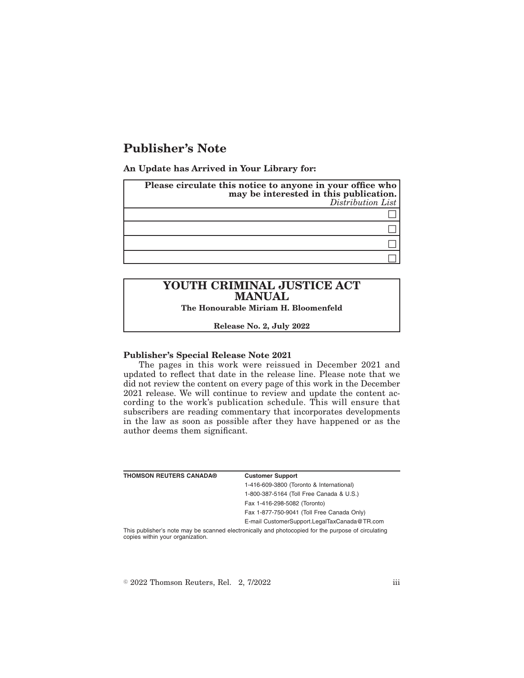## **Publisher's Note**

**An Update has Arrived in Your Library for:**

| Please circulate this notice to anyone in your office who | may be interested in this publication.<br>Distribution List |
|-----------------------------------------------------------|-------------------------------------------------------------|
|                                                           |                                                             |
|                                                           |                                                             |
|                                                           |                                                             |
|                                                           |                                                             |

# **YOUTH CRIMINAL JUSTICE ACT MANUAL**

**The Honourable Miriam H. Bloomenfeld**

**Release No. 2, July 2022**

#### **Publisher's Special Release Note 2021**

The pages in this work were reissued in December 2021 and updated to reflect that date in the release line. Please note that we did not review the content on every page of this work in the December 2021 release. We will continue to review and update the content according to the work's publication schedule. This will ensure that subscribers are reading commentary that incorporates developments in the law as soon as possible after they have happened or as the author deems them significant.

| <b>THOMSON REUTERS CANADA®</b>                                                                     | <b>Customer Support</b>                      |
|----------------------------------------------------------------------------------------------------|----------------------------------------------|
|                                                                                                    | 1-416-609-3800 (Toronto & International)     |
|                                                                                                    | 1-800-387-5164 (Toll Free Canada & U.S.)     |
|                                                                                                    | Fax 1-416-298-5082 (Toronto)                 |
|                                                                                                    | Fax 1-877-750-9041 (Toll Free Canada Only)   |
|                                                                                                    | E-mail CustomerSupport.LegalTaxCanada@TR.com |
| This publisher's note may be scanned electronically and photocopied for the purpose of circulating |                                              |

This publisher's note may be scanned electronically and photocopied for the purpose of circulating copies within your organization.

 $\textdegree$  2022 Thomson Reuters, Rel. 2, 7/2022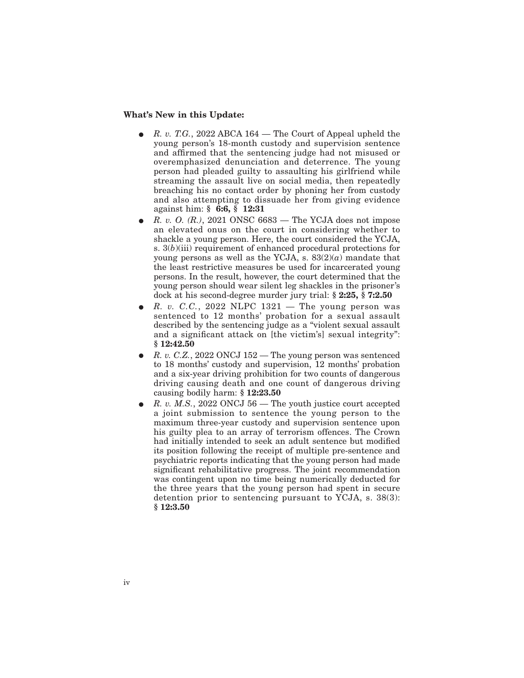#### **What's New in this Update:**

- E *R. v. T.G.*, 2022 ABCA 164 The Court of Appeal upheld the young person's 18-month custody and supervision sentence and affirmed that the sentencing judge had not misused or overemphasized denunciation and deterrence. The young person had pleaded guilty to assaulting his girlfriend while streaming the assault live on social media, then repeatedly breaching his no contact order by phoning her from custody and also attempting to dissuade her from giving evidence against him: **§ 6:6, § 12:31**
- E *R. v. O. (R.)*, 2021 ONSC 6683 The YCJA does not impose an elevated onus on the court in considering whether to shackle a young person. Here, the court considered the YCJA, s. 3(*b*)(iii) requirement of enhanced procedural protections for young persons as well as the YCJA, s.  $83(2)(a)$  mandate that the least restrictive measures be used for incarcerated young persons. In the result, however, the court determined that the young person should wear silent leg shackles in the prisoner's dock at his second-degree murder jury trial: **§ 2:25, § 7:2.50**
- E *R. v. C.C.*, 2022 NLPC 1321 The young person was sentenced to 12 months' probation for a sexual assault described by the sentencing judge as a "violent sexual assault and a significant attack on [the victim's] sexual integrity": **§ 12:42.50**
- E *R. v. C.Z.*, 2022 ONCJ 152 The young person was sentenced to 18 months' custody and supervision, 12 months' probation and a six-year driving prohibition for two counts of dangerous driving causing death and one count of dangerous driving causing bodily harm: **§ 12:23.50**
- E *R. v. M.S.*, 2022 ONCJ 56 The youth justice court accepted a joint submission to sentence the young person to the maximum three-year custody and supervision sentence upon his guilty plea to an array of terrorism offences. The Crown had initially intended to seek an adult sentence but modified its position following the receipt of multiple pre-sentence and psychiatric reports indicating that the young person had made significant rehabilitative progress. The joint recommendation was contingent upon no time being numerically deducted for the three years that the young person had spent in secure detention prior to sentencing pursuant to YCJA, s. 38(3): **§ 12:3.50**